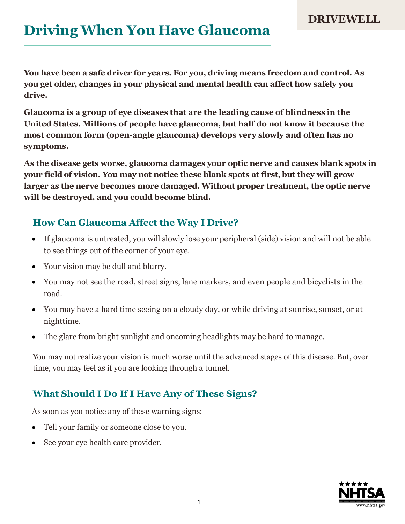# **Driving When You Have Glaucoma**

**You have been a safe driver for years. For you, driving means freedom and control. As you get older, changes in your physical and mental health can affect how safely you drive.**

**Glaucoma is a group of eye diseases that are the leading cause of blindness in the United States. Millions of people have glaucoma, but half do not know it because the most common form (open-angle glaucoma) develops very slowly and often has no symptoms.**

**As the disease gets worse, glaucoma damages your optic nerve and causes blank spots in your field of vision. You may not notice these blank spots at first, but they will grow larger as the nerve becomes more damaged. Without proper treatment, the optic nerve will be destroyed, and you could become blind.**

#### **How Can Glaucoma Affect the Way I Drive?**

- If glaucoma is untreated, you will slowly lose your peripheral (side) vision and will not be able to see things out of the corner of your eye.
- Your vision may be dull and blurry.
- You may not see the road, street signs, lane markers, and even people and bicyclists in the road.
- You may have a hard time seeing on a cloudy day, or while driving at sunrise, sunset, or at nighttime.
- The glare from bright sunlight and oncoming headlights may be hard to manage.

You may not realize your vision is much worse until the advanced stages of this disease. But, over time, you may feel as if you are looking through a tunnel.

### **What Should I Do If I Have Any of These Signs?**

As soon as you notice any of these warning signs:

- Tell your family or someone close to you.
- See your eye health care provider.

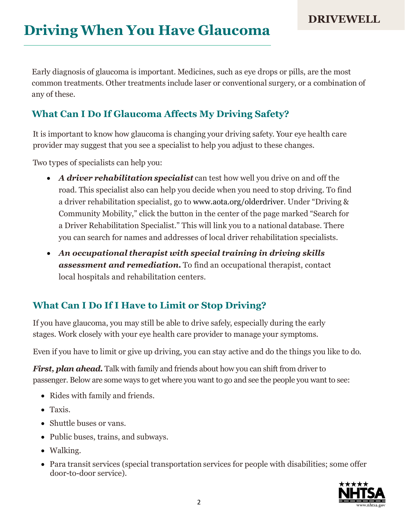Early diagnosis of glaucoma is important. Medicines, such as eye drops or pills, are the most common treatments. Other treatments include laser or conventional surgery, or a combination of any of these.

#### **What Can I Do If Glaucoma Affects My Driving Safety?**

It is important to know how glaucoma is changing your driving safety. Your eye health care provider may suggest that you see a specialist to help you adjust to these changes.

Two types of specialists can help you:

- *A driver rehabilitation specialist* can test how well you drive on and off the road. This specialist also can help you decide when you need to stop driving. To find a driver rehabilitation specialist, go to [www.aota.org/olderdriver.](http://www.aota.org/olderdriver) Under "Driving & Community Mobility," click the button in the center of the page marked "Search for a Driver Rehabilitation Specialist." This will link you to a national database. There you can search for names and addresses of local driver rehabilitation specialists.
- *An occupational therapist with special training in driving skills assessment and remediation.* To find an occupational therapist, contact local hospitals and rehabilitation centers.

### **What Can I Do If I Have to Limit or Stop Driving?**

If you have glaucoma, you may still be able to drive safely, especially during the early stages. Work closely with your eye health care provider to manage your symptoms.

Even if you have to limit or give up driving, you can stay active and do the things you like to do.

*First, plan ahead.* Talk with family and friends about how you can shift from driver to passenger. Below are some ways to get where you want to go and see the people you want to see:

- Rides with family and friends.
- Taxis.
- Shuttle buses or vans.
- Public buses, trains, and subways.
- Walking.
- Para transit services (special transportation services for people with disabilities; some offer door-to-door service).